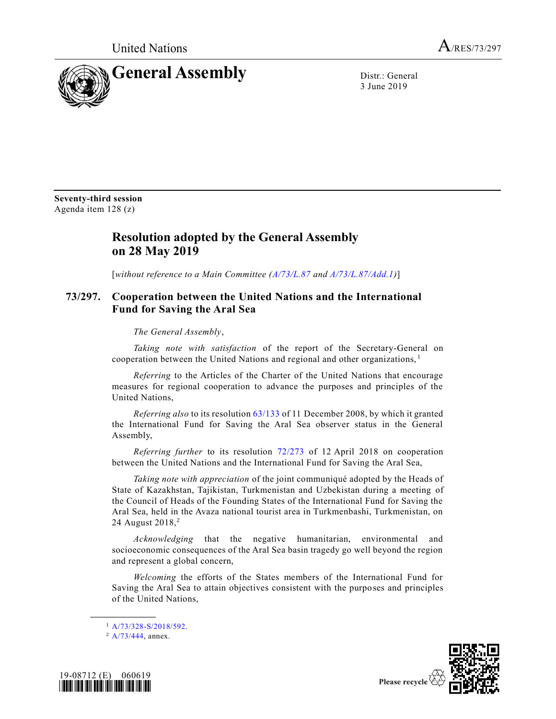United Nations  $A_{/RES/73/297}$ 



3 June 2019

**Seventy-third session** Agenda item 128 (z)

## **Resolution adopted by the General Assembly on 28 May 2019**

[*without reference to a Main Committee [\(A/73/L.87](https://undocs.org/A/73/L.87) and [A/73/L.87/Add.1\)](https://undocs.org/A/73/L.87/Add.1)*]

## **73/297. Cooperation between the United Nations and the International Fund for Saving the Aral Sea**

*The General Assembly*,

*Taking note with satisfaction* of the report of the Secretary-General on cooperation between the United Nations and regional and other organizations, <sup>1</sup>

*Referring* to the Articles of the Charter of the United Nations that encourage measures for regional cooperation to advance the purposes and principles of the United Nations,

*Referring also* to its resolutio[n 63/133](https://undocs.org/en/A/RES/63/133) of 11 December 2008, by which it granted the International Fund for Saving the Aral Sea observer status in the General Assembly,

*Referring further* to its resolution [72/273](https://undocs.org/en/A/RES/72/273) of 12 April 2018 on cooperation between the United Nations and the International Fund for Saving the Aral Sea,

*Taking note with appreciation* of the joint communiqué adopted by the Heads of State of Kazakhstan, Tajikistan, Turkmenistan and Uzbekistan during a meeting of the Council of Heads of the Founding States of the International Fund for Saving the Aral Sea, held in the Avaza national tourist area in Turkmenbashi, Turkmenistan, on 24 August 2018,<sup>2</sup>

*Acknowledging* that the negative humanitarian, environmental and socioeconomic consequences of the Aral Sea basin tragedy go well beyond the region and represent a global concern,

*Welcoming* the efforts of the States members of the International Fund for Saving the Aral Sea to attain objectives consistent with the purposes and principles of the United Nations,

<sup>1</sup> [A/73/328-S/2018/592.](https://undocs.org/en/A/73/328)

**\_\_\_\_\_\_\_\_\_\_\_\_\_\_\_\_\_\_**





<sup>&</sup>lt;sup>2</sup> [A/73/444,](https://undocs.org/en/A/73/444) annex.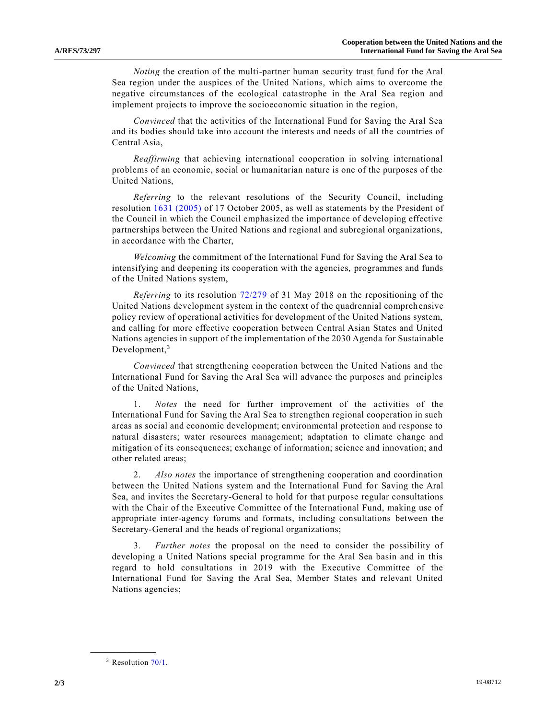*Noting* the creation of the multi-partner human security trust fund for the Aral Sea region under the auspices of the United Nations, which aims to overcome the negative circumstances of the ecological catastrophe in the Aral Sea region and implement projects to improve the socioeconomic situation in the region,

*Convinced* that the activities of the International Fund for Saving the Aral Sea and its bodies should take into account the interests and needs of all the countries of Central Asia,

*Reaffirming* that achieving international cooperation in solving international problems of an economic, social or humanitarian nature is one of the purposes of the United Nations,

*Referring* to the relevant resolutions of the Security Council, including resolution 1631 [\(2005\)](https://undocs.org/en/S/RES/1631%20(2005)) of 17 October 2005, as well as statements by the President of the Council in which the Council emphasized the importance of developing effective partnerships between the United Nations and regional and subregional organizations, in accordance with the Charter,

*Welcoming* the commitment of the International Fund for Saving the Aral Sea to intensifying and deepening its cooperation with the agencies, programmes and funds of the United Nations system,

*Referring* to its resolution [72/279](https://undocs.org/en/A/RES/72/279) of 31 May 2018 on the repositioning of the United Nations development system in the context of the quadrennial comprehensive policy review of operational activities for development of the United Nations system, and calling for more effective cooperation between Central Asian States and United Nations agencies in support of the implementation of the 2030 Agenda for Sustainable Development,<sup>3</sup>

*Convinced* that strengthening cooperation between the United Nations and the International Fund for Saving the Aral Sea will advance the purposes and principles of the United Nations,

1. *Notes* the need for further improvement of the activities of the International Fund for Saving the Aral Sea to strengthen regional cooperation in such areas as social and economic development; environmental protection and response to natural disasters; water resources management; adaptation to climate change and mitigation of its consequences; exchange of information; science and innovation; and other related areas;

2. *Also notes* the importance of strengthening cooperation and coordination between the United Nations system and the International Fund for Saving the Aral Sea, and invites the Secretary-General to hold for that purpose regular consultations with the Chair of the Executive Committee of the International Fund, making use of appropriate inter-agency forums and formats, including consultations between the Secretary-General and the heads of regional organizations;

3. *Further notes* the proposal on the need to consider the possibility of developing a United Nations special programme for the Aral Sea basin and in this regard to hold consultations in 2019 with the Executive Committee of the International Fund for Saving the Aral Sea, Member States and relevant United Nations agencies;

**\_\_\_\_\_\_\_\_\_\_\_\_\_\_\_\_\_\_**

 $3$  Resolution  $70/1$ .